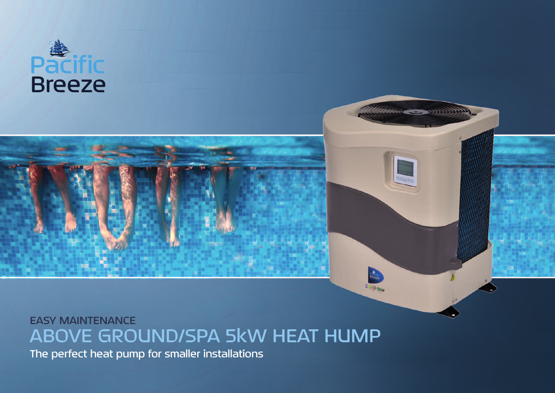

## **EASY MAINTENANCE** ABOVE GROUND/SPA 5kW HEAT HUMP

<u>Salababata</u>

The perfect heat pump for smaller installations